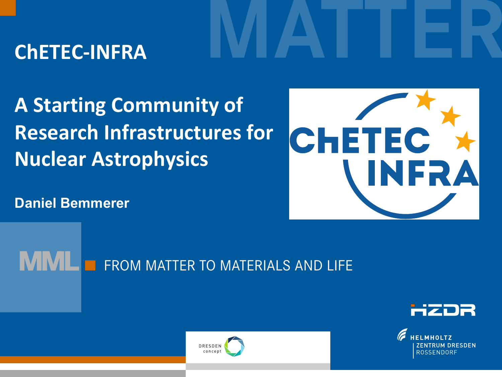# **CHETEC-INFRA**

CHETEC

**A Starting Community of Research Infrastructures for Nuclear Astrophysics** 

**Daniel Bemmerer** 

FROM MATTER TO MATERIALS AND LIFE





INFRA

**M DRESDEN**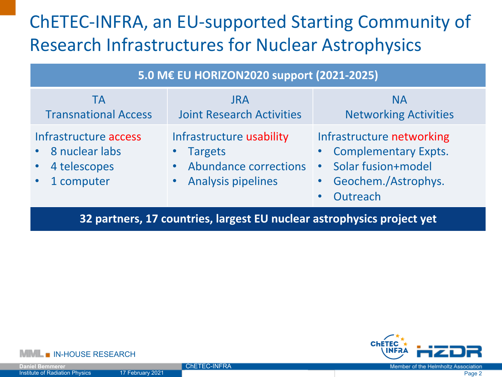# ChETEC-INFRA, an EU-supported Starting Community of Research Infrastructures for Nuclear Astrophysics

### **5.0 M€ EU HORIZON2020 support (2021-2025)**

| TA                                                                          | <b>JRA</b>                                                                               | <b>NA</b>                                                                                                                      |
|-----------------------------------------------------------------------------|------------------------------------------------------------------------------------------|--------------------------------------------------------------------------------------------------------------------------------|
| <b>Transnational Access</b>                                                 | <b>Joint Research Activities</b>                                                         | <b>Networking Activities</b>                                                                                                   |
| Infrastructure access<br>• 8 nuclear labs<br>• 4 telescopes<br>• 1 computer | Infrastructure usability<br>• Targets<br>• Abundance corrections<br>• Analysis pipelines | Infrastructure networking<br><b>Complementary Expts.</b><br>Solar fusion+model<br>$\bullet$<br>Geochem./Astrophys.<br>Outreach |

**32 partners, 17 countries, largest EU nuclear astrophysics project yet** 





ChETEC-INFRA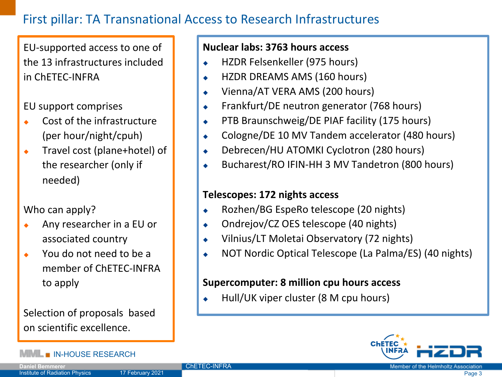## First pillar: TA Transnational Access to Research Infrastructures

EU-supported access to one of the 13 infrastructures included in ChETEC-INFRA 

EU support comprises

- Cost of the infrastructure (per hour/night/cpuh)
- $\bullet$  Travel cost (plane+hotel) of the researcher (only if needed)

Who can apply?

- Any researcher in a EU or associated country
- $\bullet$  You do not need to be a member of ChETEC-INFRA to apply

Selection of proposals based on scientific excellence.

#### IN-HOUSE RESEARCH

#### **Nuclear labs: 3763 hours access**

- $\leftarrow$  HZDR Felsenkeller (975 hours)
- $\leftarrow$  HZDR DREAMS AMS (160 hours)
- Vienna/AT VERA AMS (200 hours)
- Frankfurt/DE neutron generator (768 hours)
- $\bullet$  PTB Braunschweig/DE PIAF facility (175 hours)
- Cologne/DE 10 MV Tandem accelerator (480 hours)
- ◆ Debrecen/HU ATOMKI Cyclotron (280 hours)
- Bucharest/RO IFIN-HH 3 MV Tandetron (800 hours)

#### **Telescopes: 172 nights access**

- $\leftarrow$  Rozhen/BG EspeRo telescope (20 nights)
- Ondrejov/CZ OES telescope (40 nights)
- ◆ Vilnius/LT Moletai Observatory (72 nights)
- NOT Nordic Optical Telescope (La Palma/ES) (40 nights)

#### **Supercomputer: 8 million cpu hours access**

Hull/UK viper cluster (8 M cpu hours)



#### **Daniel Bemmerer**  Institute of Radiation Physics 2021 Page 3 and 2021 Page 3 and 2021 Page 3 and 2021 Page 3 and 2021 Page 3 and 2021 Page 3 and 2021 Page 3 and 2021 Page 3 and 2021 Page 3 and 2021 Page 3 and 2021 Page 3 and 2021 Page 3 and

#### ChETEC-INFRA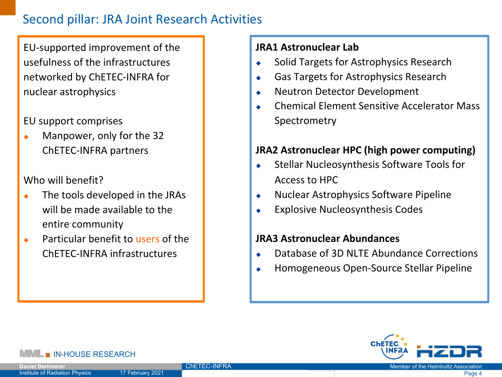## Second pillar: JRA Joint Research Activities

EU-supported improvement of the usefulness of the infrastructures networked by ChETEC-INFRA for nuclear astrophysics 

#### EU support comprises

Manpower, only for the 32 ChETEC-INFRA partners 

#### Who will benefit?

- The tools developed in the JRAs will be made available to the entire community
- Particular benefit to users of the ChETEC-INFRA infrastructures

#### **JRA1 Astronuclear Lab**

- Solid Targets for Astrophysics Research
- $\leftarrow$  Gas Targets for Astrophysics Research
- Neutron Detector Development
- Chemical Flement Sensitive Accelerator Mass Spectrometry

#### **JRA2 Astronuclear HPC (high power computing)**

- $\leftarrow$  Stellar Nucleosynthesis Software Tools for Access to HPC
- $\bullet$  Nuclear Astrophysics Software Pipeline
- **Explosive Nucleosynthesis Codes**

#### **JRA3 Astronuclear Abundances**

- Database of 3D NLTF Abundance Corrections
- $\bullet$  Homogeneous Open-Source Stellar Pipeline



#### IN-HOUSE RESEARCH

ChETEC-INFRA

Member of the Helmholtz Association Institute of Radiation Physics 2021 Page 4 and 2021 Page 4 and 2021 Page 4 and 2021 Page 4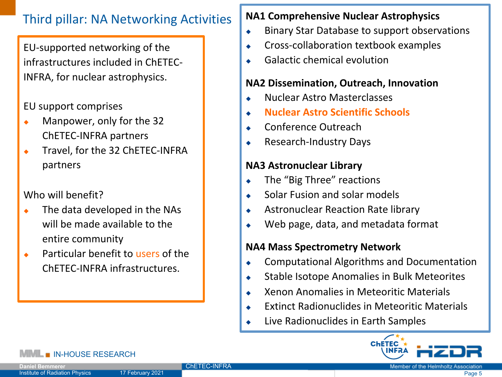## Third pillar: NA Networking Activities | NA1 Comprehensive Nuclear Astrophysics

EU-supported networking of the infrastructures included in ChETEC-INFRA, for nuclear astrophysics.

#### EU support comprises

- Manpower, only for the 32 ChETEC-INFRA partners
- $\bullet$  Travel, for the 32 ChETEC-INFRA partners

#### Who will benefit?

- $\bullet$  The data developed in the NAs will be made available to the entire community
- $\leftarrow$  Particular benefit to users of the ChETEC-INFRA infrastructures.

- Binary Star Database to support observations
- $\leftarrow$  Cross-collaboration textbook examples
- Galactic chemical evolution

#### **NA2 Dissemination, Outreach, Innovation**

- <sup>u</sup> Nuclear Astro Masterclasses
- **Nuclear Astro Scientific Schools**
- Conference Outreach
- Research-Industry Days

#### **NA3 Astronuclear Library**

- The "Big Three" reactions
- Solar Fusion and solar models
- Astronuclear Reaction Rate library
- Web page, data, and metadata format

#### **NA4 Mass Spectrometry Network**

- Computational Algorithms and Documentation
- Stable Isotope Anomalies in Bulk Meteorites
- <sup>u</sup> Xenon Anomalies in Meteoritic Materials
- Extinct Radionuclides in Meteoritic Materials
- Live Radionuclides in Earth Samples



#### **IN-HOUSE RESEARCH**

ChETEC-INFRA

Member of the Helmholtz Association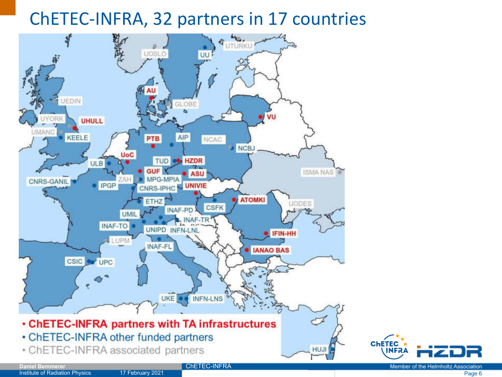# ChETEC-INFRA, 32 partners in 17 countries



**CHETEC**